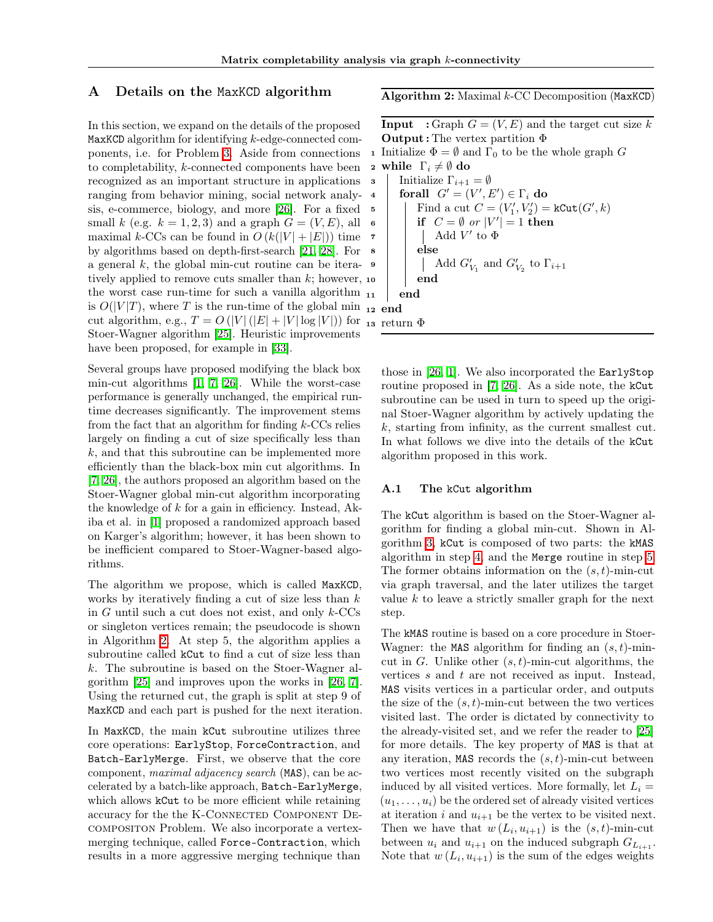#### A Details on the MaxKCD algorithm

In this section, we expand on the details of the proposed MaxKCD algorithm for identifying *k*-edge-connected components, i.e. for Problem  $\overline{3}$ . Aside from connections to completability, *k*-connected components have been recognized as an important structure in applications ranging from behavior mining, social network analysis, e-commerce, biology, and more [\[26\]](#page--1-0). For a fixed small *k* (e.g.  $k = 1, 2, 3$ ) and a graph  $G = (V, E)$ , all maximal *k*-CCs can be found in  $O(k(|V| + |E|))$  time by algorithms based on depth-first-search [\[21,](#page--1-1) [28\]](#page--1-2). For a general  $k$ , the global min-cut routine can be iteratively applied to remove cuts smaller than  $k$ ; however, 10 the worst case run-time for such a vanilla algorithm is  $O(|V|T)$ , where *T* is the run-time of the global min  $_{12}$  end cut algorithm, e.g.,  $T = O(|V|(|E| + |V| \log |V|))$  for <sub>13</sub> return  $\Phi$ Stoer-Wagner algorithm [\[25\]](#page--1-3). Heuristic improvements have been proposed, for example in **33**.

Several groups have proposed modifying the black box min-cut algorithms  $\boxed{1}$ ,  $\boxed{7}$ ,  $\boxed{26}$ . While the worst-case performance is generally unchanged, the empirical runtime decreases significantly. The improvement stems from the fact that an algorithm for finding *k*-CCs relies largely on finding a cut of size specifically less than *k*, and that this subroutine can be implemented more efficiently than the black-box min cut algorithms. In [\[7,](#page--1-6) [26\]](#page--1-0), the authors proposed an algorithm based on the Stoer-Wagner global min-cut algorithm incorporating the knowledge of *k* for a gain in efficiency. Instead, Akiba et al. in [\[1\]](#page--1-5) proposed a randomized approach based on Karger's algorithm; however, it has been shown to be inefficient compared to Stoer-Wagner-based algorithms.

The algorithm we propose, which is called MaxKCD, works by iteratively finding a cut of size less than *k* in *G* until such a cut does not exist, and only *k*-CCs or singleton vertices remain; the pseudocode is shown in Algorithm  $\boxed{2}$ . At step 5, the algorithm applies a subroutine called kCut to find a cut of size less than *k*. The subroutine is based on the Stoer-Wagner algorithm  $\boxed{25}$  and improves upon the works in  $\boxed{26}$ ,  $\boxed{7}$ . Using the returned cut, the graph is split at step 9 of MaxKCD and each part is pushed for the next iteration.

In MaxKCD, the main kCut subroutine utilizes three core operations: EarlyStop, ForceContraction, and Batch-EarlyMerge. First, we observe that the core component, *maximal adjacency search* (MAS), can be accelerated by a batch-like approach, Batch-EarlyMerge, which allows  $k\text{Cut}$  to be more efficient while retaining accuracy for the the K-CONNECTED COMPONENT DEcompositon Problem. We also incorporate a vertexmerging technique, called Force-Contraction, which results in a more aggressive merging technique than

Algorithm 2: Maximal *k*-CC Decomposition (MaxKCD)

**Input** : Graph  $G = (V, E)$  and the target cut size k **Output**: The vertex partition  $\Phi$ 1 Initialize  $\Phi = \emptyset$  and  $\Gamma_0$  to be the whole graph *G*<br>2 while  $\Gamma_i \neq \emptyset$  do 2 while  $\Gamma_i \neq \emptyset$  do<br>3 | Initialize  $\Gamma_{i+1}$ Initialize  $\Gamma_{i+1} = \emptyset$  $\mathcal{G} = (V', E') \in \Gamma_i \textbf{ do}$  $\mathfrak{g} \quad | \quad | \quad \text{Find a cut } C = (V'_1, V'_2) = \text{kCut}(G', k)$  $\begin{array}{|c|c|c|c|}\n\hline\n\text{6} & \text{if} & C = \emptyset & or & |V'| = 1 \text{ then}\n\end{array}$  $\tau$  | | Add *V'* to  $\Phi$ <sup>8</sup> else  $\bullet$   $\begin{array}{|c|c|} \hline \quad & \quad \quad \text{Add $G'_{V_1}$ and $G'_{V_2}$ to $\Gamma_{i+1}$} \ \hline \end{array}$ end end

those in  $\boxed{26}$ ,  $\boxed{1}$ . We also incorporated the EarlyStop routine proposed in  $\boxed{7}$ ,  $\boxed{26}$ . As a side note, the kCut subroutine can be used in turn to speed up the original Stoer-Wagner algorithm by actively updating the *k*, starting from infinity, as the current smallest cut. In what follows we dive into the details of the kCut algorithm proposed in this work.

#### A.1 The kCut algorithm

The kCut algorithm is based on the Stoer-Wagner algorithm for finding a global min-cut. Shown in Algorithm  $3$ , kCut is composed of two parts: the kMAS algorithm in step  $\overline{4}$ , and the Merge routine in step  $\overline{5}$ . The former obtains information on the (*s, t*)-min-cut via graph traversal, and the later utilizes the target value *k* to leave a strictly smaller graph for the next step.

The kMAS routine is based on a core procedure in Stoer-Wagner: the MAS algorithm for finding an (*s, t*)-mincut in *G*. Unlike other (*s, t*)-min-cut algorithms, the vertices *s* and *t* are not received as input. Instead, MAS visits vertices in a particular order, and outputs the size of the  $(s, t)$ -min-cut between the two vertices visited last. The order is dictated by connectivity to the already-visited set, and we refer the reader to [\[25\]](#page--1-3) for more details. The key property of MAS is that at any iteration, MAS records the (*s, t*)-min-cut between two vertices most recently visited on the subgraph induced by all visited vertices. More formally, let  $L_i =$  $(u_1, \ldots, u_i)$  be the ordered set of already visited vertices at iteration *i* and  $u_{i+1}$  be the vertex to be visited next. Then we have that  $w(L_i, u_{i+1})$  is the  $(s, t)$ -min-cut between  $u_i$  and  $u_{i+1}$  on the induced subgraph  $G_{L_{i+1}}$ . Note that  $w(L_i, u_{i+1})$  is the sum of the edges weights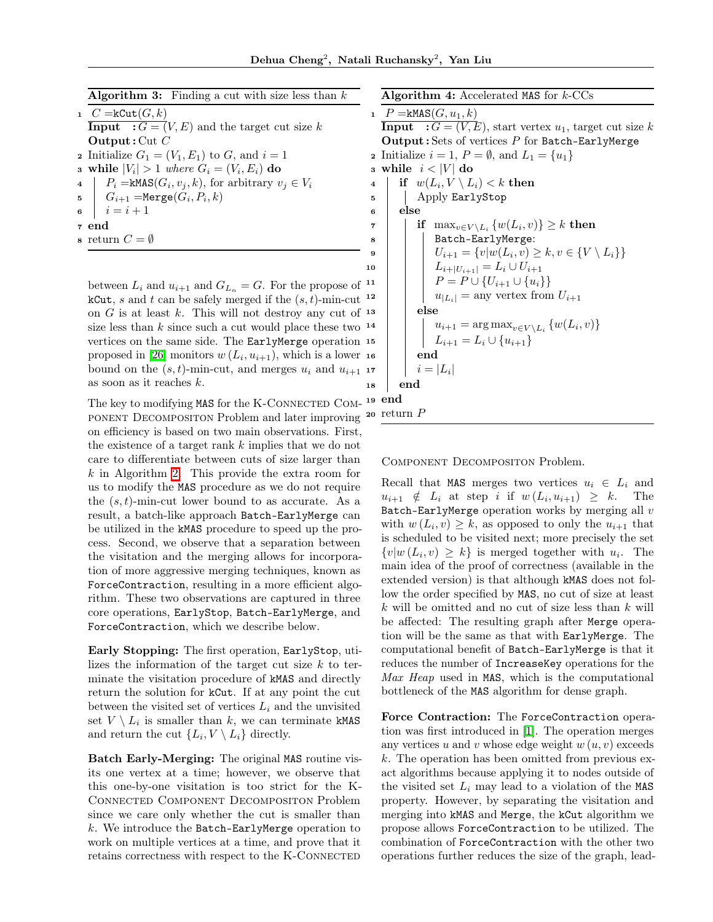| <b>Algorithm 3:</b> Finding a cut with size less than $k$ |  |  |  |  |  |  |
|-----------------------------------------------------------|--|--|--|--|--|--|
|-----------------------------------------------------------|--|--|--|--|--|--|

| 1 $C = kCut(G, k)$                                                 |  |  |  |  |  |  |
|--------------------------------------------------------------------|--|--|--|--|--|--|
| <b>Input</b> $: G = (V, E)$ and the target cut size k              |  |  |  |  |  |  |
| <b>Output:</b> Cut $C$                                             |  |  |  |  |  |  |
| 2 Initialize $G_1 = (V_1, E_1)$ to G, and $i = 1$                  |  |  |  |  |  |  |
| a while $ V_i  > 1$ where $G_i = (V_i, E_i)$ do                    |  |  |  |  |  |  |
| 4   $P_i = \text{kMAS}(G_i, v_j, k)$ , for arbitrary $v_i \in V_i$ |  |  |  |  |  |  |
| 5 $G_{i+1} = \text{Merge}(G_i, P_i, k)$                            |  |  |  |  |  |  |
| 6 $i = i + 1$                                                      |  |  |  |  |  |  |
| 7 end                                                              |  |  |  |  |  |  |
| s return $C=\emptyset$                                             |  |  |  |  |  |  |
|                                                                    |  |  |  |  |  |  |

between  $L_i$  and  $u_{i+1}$  and  $G_{L_n} = G$ . For the propose of <sup>11</sup> kCut, *s* and *t* can be safely merged if the  $(s, t)$ -min-cut <sup>12</sup> on  $G$  is at least  $k$ . This will not destroy any cut of  $13$ size less than  $k$  since such a cut would place these two  $14$ vertices on the same side. The EarlyMerge operation 15 proposed in **26** monitors  $w(L_i, u_{i+1})$ , which is a lower 16 bound on the  $(s, t)$ -min-cut, and merges  $u_i$  and  $u_{i+1}$  17 as soon as it reaches *k*.

The key to modifying MAS for the K-CONNECTED COMponent Decompositon Problem and later improving on efficiency is based on two main observations. First, the existence of a target rank *k* implies that we do not care to differentiate between cuts of size larger than  $k$  in Algorithm  $\boxed{2}$ . This provide the extra room for us to modify the MAS procedure as we do not require the (*s, t*)-min-cut lower bound to as accurate. As a result, a batch-like approach Batch-EarlyMerge can be utilized in the kMAS procedure to speed up the process. Second, we observe that a separation between the visitation and the merging allows for incorporation of more aggressive merging techniques, known as ForceContraction, resulting in a more efficient algorithm. These two observations are captured in three core operations, EarlyStop, Batch-EarlyMerge, and ForceContraction, which we describe below.

Early Stopping: The first operation, EarlyStop, utilizes the information of the target cut size *k* to terminate the visitation procedure of kMAS and directly return the solution for kCut. If at any point the cut between the visited set of vertices  $L_i$  and the unvisited set  $V \setminus L_i$  is smaller than k, we can terminate kMAS and return the cut  $\{L_i, V \setminus L_i\}$  directly.

Batch Early-Merging: The original MAS routine visits one vertex at a time; however, we observe that this one-by-one visitation is too strict for the K-Connected Component Decompositon Problem since we care only whether the cut is smaller than *k*. We introduce the Batch-EarlyMerge operation to work on multiple vertices at a time, and prove that it retains correctness with respect to the K-CONNECTED

Algorithm 4: Accelerated MAS for *k*-CCs

```
1 P = k\text{MAS}(G, u_1, k)Input : G = (V, E), start vertex u_1, target cut size k
    Output : Sets of vertices P for Batch-EarlyMerge
 2 Initialize i = 1, P = \emptyset, and L_1 = \{u_1\}<br>3 while i < |V| do
 3 while i < |V| do<br>4 | if w(L_i, V \setminus L_i)if w(L_i, V \setminus L_i) < k then
 5 Apply EarlyStop
 6 else
 \tau if \max_{v \in V \setminus L_i} \{w(L_i, v)\} \geq k then
 8 | | Batch-EarlyMerge:
9 U_{i+1} = \{v | w(L_i, v) \geq k, v \in \{V \setminus L_i\}\}\<br>10 L_{i+1}U_{i+1} = L_i \cup U_{i+1}L_{i+|U_{i+1}|} = L_i \cup U_{i+1}P = P \cup \{U_{i+1} \cup \{u_i\}\}\u_{|L_i|} = \text{any vertex from } U_{i+1}else
                  u_{i+1} = \arg \max_{v \in V \setminus L_i} \{w(L_i, v)\}L_{i+1} = L_i \cup \{u_{i+1}\}\end
             i = |L_i|18 end
19 end
20 return P
```
Component Decompositon Problem.

Recall that MAS merges two vertices  $u_i \in L_i$  and  $u_{i+1} \notin L_i$  at step *i* if  $w(L_i, u_{i+1}) \geq k$ . The Batch-EarlyMerge operation works by merging all *v* with  $w(L_i, v) \geq k$ , as opposed to only the  $u_{i+1}$  that is scheduled to be visited next; more precisely the set  $\{v | w(L_i, v) \geq k\}$  is merged together with  $u_i$ . The main idea of the proof of correctness (available in the extended version) is that although kMAS does not follow the order specified by MAS, no cut of size at least *k* will be omitted and no cut of size less than *k* will be affected: The resulting graph after Merge operation will be the same as that with EarlyMerge. The computational benefit of Batch-EarlyMerge is that it reduces the number of IncreaseKey operations for the *Max Heap* used in MAS, which is the computational bottleneck of the MAS algorithm for dense graph.

Force Contraction: The ForceContraction operation was first introduced in  $\boxed{1}$ . The operation merges any vertices  $u$  and  $v$  whose edge weight  $w(u, v)$  exceeds *k*. The operation has been omitted from previous exact algorithms because applying it to nodes outside of the visited set  $L_i$  may lead to a violation of the MAS property. However, by separating the visitation and merging into kMAS and Merge, the kCut algorithm we propose allows ForceContraction to be utilized. The combination of ForceContraction with the other two operations further reduces the size of the graph, lead-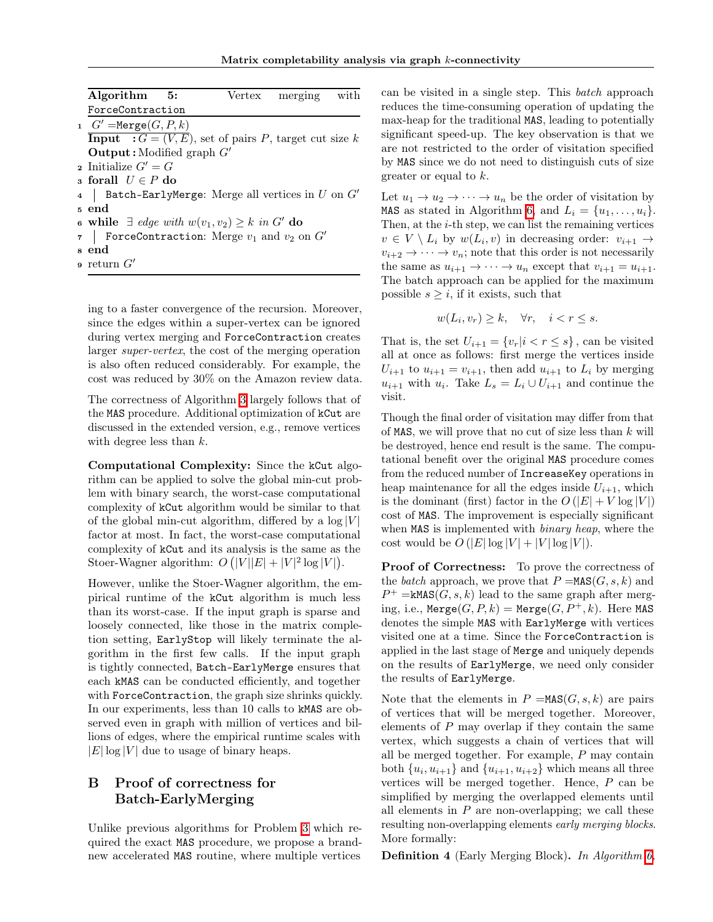| Algorithm 5:                                                    |  | Vertex merging with |  |
|-----------------------------------------------------------------|--|---------------------|--|
| ForceContraction                                                |  |                     |  |
| 1 $G' = \text{Merge}(G, P, k)$                                  |  |                     |  |
| <b>Input</b> : $G = (V, E)$ , set of pairs P, target cut size k |  |                     |  |
| <b>Output</b> : Modified graph $G'$                             |  |                     |  |
| 2 Initialize $G' = G$                                           |  |                     |  |
| s forall $U \in P$ do                                           |  |                     |  |
| Batch-EarlyMerge: Merge all vertices in $U$ on $G'$             |  |                     |  |
| 5 end                                                           |  |                     |  |
| 6 while $\exists$ edge with $w(v_1, v_2) \geq k$ in G' do       |  |                     |  |
| 7   ForceContraction: Merge $v_1$ and $v_2$ on $G'$             |  |                     |  |
| s end                                                           |  |                     |  |
| $\mathfrak s$ return $G'$                                       |  |                     |  |

ing to a faster convergence of the recursion. Moreover, since the edges within a super-vertex can be ignored during vertex merging and ForceContraction creates larger *super-vertex*, the cost of the merging operation is also often reduced considerably. For example, the cost was reduced by 30% on the Amazon review data.

The correctness of Algorithm [3](#page--1-8) largely follows that of the MAS procedure. Additional optimization of kCut are discussed in the extended version, e.g., remove vertices with degree less than *k*.

Computational Complexity: Since the kCut algorithm can be applied to solve the global min-cut problem with binary search, the worst-case computational complexity of kCut algorithm would be similar to that of the global min-cut algorithm, differed by a  $log|V|$ factor at most. In fact, the worst-case computational complexity of kCut and its analysis is the same as the Stoer-Wagner algorithm:  $O(|V||E| + |V|^2 \log |V|)$ .

However, unlike the Stoer-Wagner algorithm, the empirical runtime of the kCut algorithm is much less than its worst-case. If the input graph is sparse and loosely connected, like those in the matrix completion setting, EarlyStop will likely terminate the algorithm in the first few calls. If the input graph is tightly connected, Batch-EarlyMerge ensures that each kMAS can be conducted efficiently, and together with ForceContraction, the graph size shrinks quickly. In our experiments, less than 10 calls to kMAS are observed even in graph with million of vertices and billions of edges, where the empirical runtime scales with  $|E| \log |V|$  due to usage of binary heaps.

# B Proof of correctness for Batch-EarlyMerging

Unlike previous algorithms for Problem  $\overline{3}$  which required the exact MAS procedure, we propose a brandnew accelerated MAS routine, where multiple vertices

can be visited in a single step. This *batch* approach reduces the time-consuming operation of updating the max-heap for the traditional MAS, leading to potentially significant speed-up. The key observation is that we are not restricted to the order of visitation specified by MAS since we do not need to distinguish cuts of size greater or equal to *k*.

Let  $u_1 \to u_2 \to \cdots \to u_n$  be the order of visitation by MAS as stated in Algorithm  $\overline{6}$ , and  $L_i = \{u_1, \ldots, u_i\}$ . Then, at the *i*-th step, we can list the remaining vertices  $v \in V \setminus L_i$  by  $w(L_i, v)$  in decreasing order:  $v_{i+1} \to$  $v_{i+2} \rightarrow \cdots \rightarrow v_n$ ; note that this order is not necessarily the same as  $u_{i+1} \to \cdots \to u_n$  except that  $v_{i+1} = u_{i+1}$ . The batch approach can be applied for the maximum possible  $s \geq i$ , if it exists, such that

$$
w(L_i, v_r) \ge k, \quad \forall r, \quad i < r \le s.
$$

That is, the set  $U_{i+1} = \{v_r | i < r \leq s\}$ , can be visited all at once as follows: first merge the vertices inside  $U_{i+1}$  to  $u_{i+1} = v_{i+1}$ , then add  $u_{i+1}$  to  $L_i$  by merging  $u_{i+1}$  with  $u_i$ . Take  $L_s = L_i \cup U_{i+1}$  and continue the visit.

Though the final order of visitation may differ from that of MAS, we will prove that no cut of size less than *k* will be destroyed, hence end result is the same. The computational benefit over the original MAS procedure comes from the reduced number of IncreaseKey operations in heap maintenance for all the edges inside  $U_{i+1}$ , which is the dominant (first) factor in the  $O(|E| + V \log |V|)$ cost of MAS. The improvement is especially significant when MAS is implemented with *binary heap*, where the cost would be  $O(|E|\log|V|+|V|\log|V|)$ .

Proof of Correctness: To prove the correctness of the *batch* approach, we prove that  $P = \text{MAS}(G, s, k)$  and  $P^+$  = kMAS(*G*, *s*, *k*) lead to the same graph after merging, i.e.,  $\text{Merge}(G, P, k) = \text{Merge}(G, P^+, k)$ . Here MAS denotes the simple MAS with EarlyMerge with vertices visited one at a time. Since the ForceContraction is applied in the last stage of Merge and uniquely depends on the results of EarlyMerge, we need only consider the results of EarlyMerge.

Note that the elements in  $P = \text{MAS}(G, s, k)$  are pairs of vertices that will be merged together. Moreover, elements of *P* may overlap if they contain the same vertex, which suggests a chain of vertices that will all be merged together. For example, *P* may contain both  $\{u_i, u_{i+1}\}\$  and  $\{u_{i+1}, u_{i+2}\}\$  which means all three vertices will be merged together. Hence, *P* can be simplified by merging the overlapped elements until all elements in  $P$  are non-overlapping; we call these resulting non-overlapping elements *early merging blocks*. More formally:

Definition 4 (Early Merging Block). *In Algorithm [6,](#page--1-8)*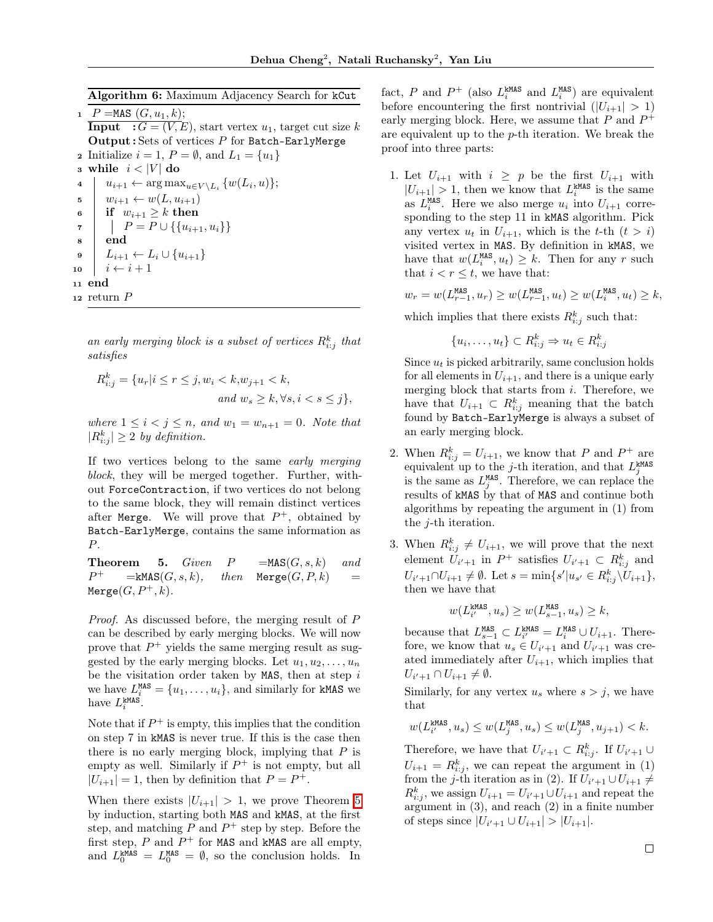Algorithm 6: Maximum Adjacency Search for kCut

1  $P = \text{MAS } (G, u_1, k);$ **Input** :  $G = (V, E)$ , start vertex  $u_1$ , target cut size k Output : Sets of vertices *P* for Batch-EarlyMerge 2 Initialize  $i = 1, P = \emptyset$ , and  $L_1 = \{u_1\}$ 3 while  $i < |V|$  do<br>4  $|u_{i+1} \leftarrow \arg \max$  $u_{i+1} \leftarrow \arg \max_{u \in V \setminus L_i} \{w(L_i, u)\};$  $\mathfrak{s} \quad w_{i+1} \leftarrow w(L, u_{i+1})$ 6 if  $w_{i+1} \geq k$  then  $P = P \cup \{\{u_{i+1}, u_i\}\}\$ <sup>8</sup> end  $\mathbf{9}$   $L_{i+1} \leftarrow L_i \cup \{u_{i+1}\}\$ 10  $i \leftarrow i + 1$ <sup>11</sup> end <sup>12</sup> return *P*

*an early merging block is a subset of vertices R<sup>k</sup> <sup>i</sup>*:*<sup>j</sup> that satisfies*

 $R_{i:j}^k = \{u_r | i \leq r \leq j, w_i < k, w_{j+1} < k,$  $and w_s \geq k, \forall s, i < s \leq j$ 

*where*  $1 \leq i < j \leq n$ *, and*  $w_1 = w_{n+1} = 0$ *. Note that*  $|R_{i:j}^k| \geq 2$  *by definition.* 

If two vertices belong to the same *early merging block*, they will be merged together. Further, without ForceContraction, if two vertices do not belong to the same block, they will remain distinct vertices after Merge. We will prove that  $P^+$ , obtained by Batch-EarlyMerge, contains the same information as *P*.

**Theorem 5.** *Given*  $P = \text{MAS}(G, s, k)$  *and*  $P^+$  =  $\texttt{kmAS}(G, s, k)$ , then Merge $(G, P, k)$  $Merge(G, P^+, k)$ .

*Proof.* As discussed before, the merging result of *P* can be described by early merging blocks. We will now prove that  $P^+$  yields the same merging result as suggested by the early merging blocks. Let  $u_1, u_2, \ldots, u_n$ be the visitation order taken by MAS, then at step *i* we have  $L_i^{\text{MAS}} = \{u_1, \ldots, u_i\}$ , and similarly for kMAS we have  $L_i^{\text{kMAS}}$ .

Note that if  $P^+$  is empty, this implies that the condition on step 7 in kMAS is never true. If this is the case then there is no early merging block, implying that *P* is empty as well. Similarly if  $P^+$  is not empty, but all  $|U_{i+1}| = 1$ , then by definition that  $P = P^+$ .

When there exists  $|U_{i+1}| > 1$ , we prove Theorem  $\overline{5}$ by induction, starting both MAS and kMAS, at the first step, and matching  $P$  and  $P^+$  step by step. Before the first step,  $P$  and  $P^+$  for MAS and kMAS are all empty, and  $L_0^{\text{kMAS}} = L_0^{\text{MAS}} = \emptyset$ , so the conclusion holds. In

fact, P and  $P^+$  (also  $L_i^{\text{kMAS}}$  and  $L_i^{\text{MAS}}$ ) are equivalent before encountering the first nontrivial  $(|U_{i+1}| > 1)$ early merging block. Here, we assume that  $P$  and  $P^+$ are equivalent up to the *p*-th iteration. We break the proof into three parts:

1. Let  $U_{i+1}$  with  $i \geq p$  be the first  $U_{i+1}$  with  $|U_{i+1}| > 1$ , then we know that  $L_i^{\text{kMAS}}$  is the same as  $L_i^{\text{MAS}}$ . Here we also merge  $u_i$  into  $U_{i+1}$  corresponding to the step 11 in kMAS algorithm. Pick any vertex  $u_t$  in  $U_{i+1}$ , which is the *t*-th  $(t > i)$ visited vertex in MAS. By definition in kMAS, we have that  $w(L_i^{\text{MAS}}, u_t) \geq k$ . Then for any *r* such that  $i < r < t$ , we have that:

$$
w_r = w(L_{r-1}^{\text{MAS}}, u_r) \ge w(L_{r-1}^{\text{MAS}}, u_t) \ge w(L_i^{\text{MAS}}, u_t) \ge k,
$$

which implies that there exists  $R_{i:j}^k$  such that:

$$
\{u_i,\ldots,u_t\} \subset R_{i:j}^k \Rightarrow u_t \in R_{i:j}^k
$$

Since  $u_t$  is picked arbitrarily, same conclusion holds for all elements in  $U_{i+1}$ , and there is a unique early merging block that starts from *i*. Therefore, we have that  $U_{i+1} \subset R^k_{i,j}$  meaning that the batch found by Batch-EarlyMerge is always a subset of an early merging block.

- 2. When  $R_{i:j}^k = U_{i+1}$ , we know that *P* and  $P^+$  are equivalent up to the *j*-th iteration, and that  $L_j^{\text{MAS}}$  is the same as  $L_j^{\text{MAS}}$ . Therefore, we can replace the results of kMAS by that of MAS and continue both algorithms by repeating the argument in (1) from the *j*-th iteration.
- 3. When  $R_{i:j}^k \neq U_{i+1}$ , we will prove that the next element  $U_{i'+1}$  in  $P^+$  satisfies  $U_{i'+1} \subset R^k_{i;j}$  and  $U_{i'+1} \cap U_{i+1} \neq \emptyset$ . Let  $s = \min\{s'|u_{s'} \in R_{i:j}^k \setminus U_{i+1}\},$ then we have that

$$
w(L_{i'}^{\text{kMAS}}, u_s) \ge w(L_{s-1}^{\text{MAS}}, u_s) \ge k,
$$

because that  $L_{s-1}^{\text{MAS}} \subset L_i^{\text{kMAS}} = L_i^{\text{MAS}} \cup U_{i+1}$ . Therefore, we know that  $u_s \in U_{i'+1}$  and  $U_{i'+1}$  was created immediately after  $U_{i+1}$ , which implies that  $U_{i'+1} \cap U_{i+1} \neq \emptyset$ .

Similarly, for any vertex  $u_s$  where  $s > j$ , we have that

$$
w(L^{\textup{MMS}}_{i'},u_s)\le w(L^{\textup{MAS}}_{j},u_s)\le w(L^{\textup{MAS}}_{j},u_{j+1})
$$

Therefore, we have that  $U_{i'+1} \subset R_{i:j}^k$ . If  $U_{i'+1} \cup$  $U_{i+1} = R^k_{i:j}$ , we can repeat the argument in (1) from the *j*-th iteration as in (2). If  $U_{i'+1} \cup U_{i+1} \neq$  $R_{i:j}^k$ , we assign  $U_{i+1} = U_{i'+1} \cup U_{i+1}$  and repeat the argument in (3), and reach (2) in a finite number of steps since  $|U_{i'+1} \cup U_{i+1}| > |U_{i+1}|$ .

 $\Box$